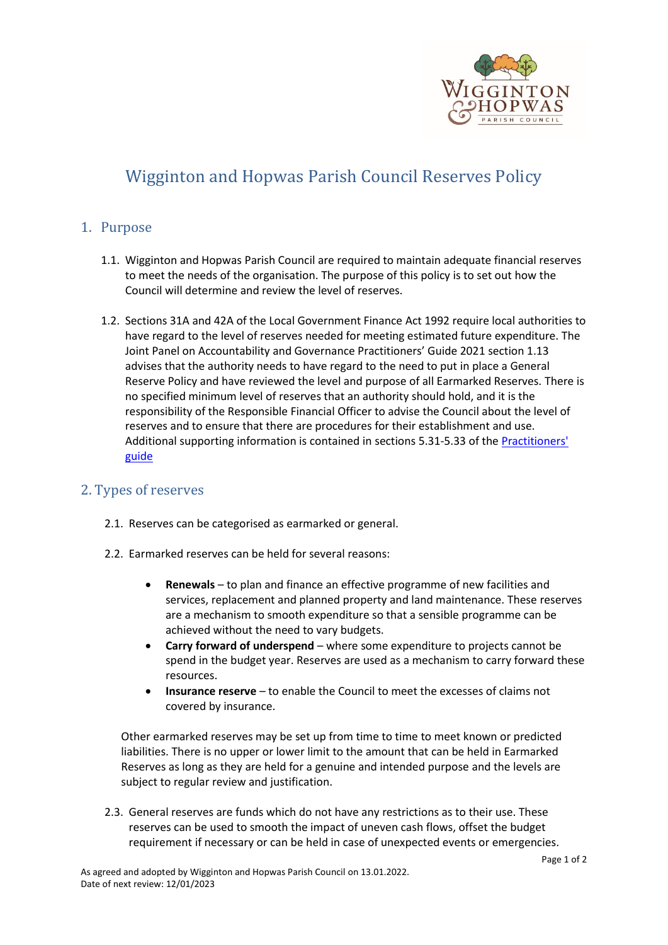

# Wigginton and Hopwas Parish Council Reserves Policy

## 1. Purpose

- 1.1. Wigginton and Hopwas Parish Council are required to maintain adequate financial reserves to meet the needs of the organisation. The purpose of this policy is to set out how the Council will determine and review the level of reserves.
- 1.2. Sections 31A and 42A of the Local Government Finance Act 1992 require local authorities to have regard to the level of reserves needed for meeting estimated future expenditure. The Joint Panel on Accountability and Governance Practitioners' Guide 2021 section 1.13 advises that the authority needs to have regard to the need to put in place a General Reserve Policy and have reviewed the level and purpose of all Earmarked Reserves. There is no specified minimum level of reserves that an authority should hold, and it is the responsibility of the Responsible Financial Officer to advise the Council about the level of reserves and to ensure that there are procedures for their establishment and use. Additional supporting information is contained in sections 5.31-5.33 of the [Practitioners'](https://www.nalc.gov.uk/library/our-work/jpag/3479-practitioners-guide-2021/file)  [guide](https://www.nalc.gov.uk/library/our-work/jpag/3479-practitioners-guide-2021/file)

## 2. Types of reserves

- 2.1. Reserves can be categorised as earmarked or general.
- 2.2. Earmarked reserves can be held for several reasons:
	- **Renewals** to plan and finance an effective programme of new facilities and services, replacement and planned property and land maintenance. These reserves are a mechanism to smooth expenditure so that a sensible programme can be achieved without the need to vary budgets.
	- **Carry forward of underspend** where some expenditure to projects cannot be spend in the budget year. Reserves are used as a mechanism to carry forward these resources.
	- **Insurance reserve** to enable the Council to meet the excesses of claims not covered by insurance.

Other earmarked reserves may be set up from time to time to meet known or predicted liabilities. There is no upper or lower limit to the amount that can be held in Earmarked Reserves as long as they are held for a genuine and intended purpose and the levels are subject to regular review and justification.

2.3. General reserves are funds which do not have any restrictions as to their use. These reserves can be used to smooth the impact of uneven cash flows, offset the budget requirement if necessary or can be held in case of unexpected events or emergencies.